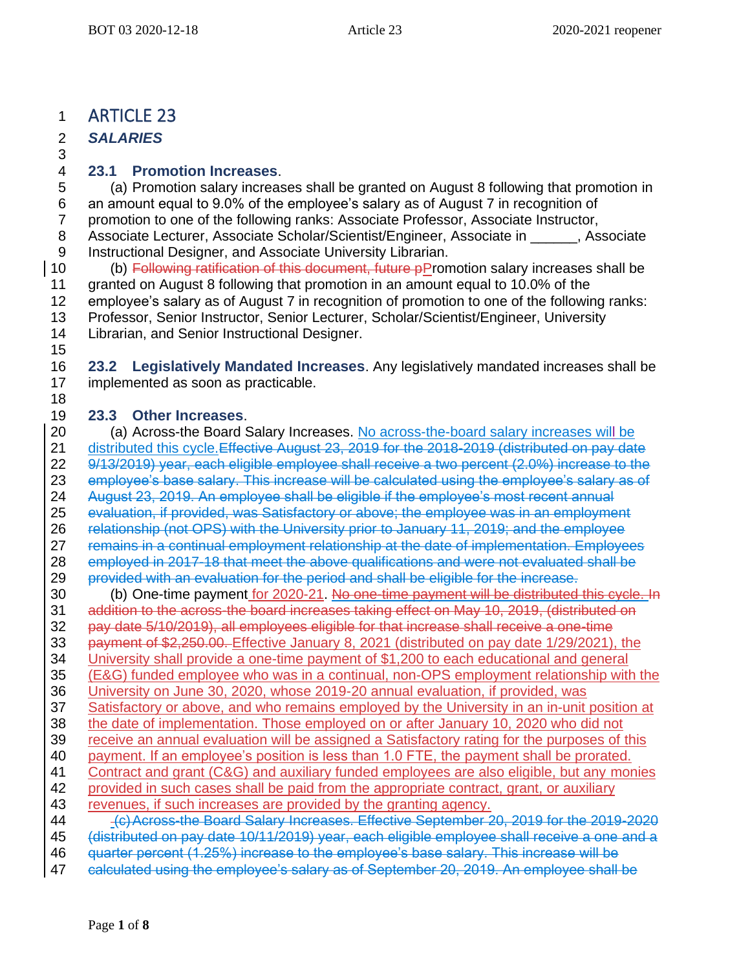# ARTICLE 23

 *SALARIES* 

#### **23.1 Promotion Increases**.

 (a) Promotion salary increases shall be granted on August 8 following that promotion in an amount equal to 9.0% of the employee's salary as of August 7 in recognition of promotion to one of the following ranks: Associate Professor, Associate Instructor, 8 Associate Lecturer, Associate Scholar/Scientist/Engineer, Associate in \_\_\_\_\_\_, Associate Instructional Designer, and Associate University Librarian.

10 (b) Following ratification of this document, future pPromotion salary increases shall be granted on August 8 following that promotion in an amount equal to 10.0% of the employee's salary as of August 7 in recognition of promotion to one of the following ranks: Professor, Senior Instructor, Senior Lecturer, Scholar/Scientist/Engineer, University Librarian, and Senior Instructional Designer.

 **23.2 Legislatively Mandated Increases**. Any legislatively mandated increases shall be implemented as soon as practicable. 

#### **23.3 Other Increases**.

 (a) Across-the Board Salary Increases. No across-the-board salary increases will be 21 distributed this cycle. Effective August 23, 2019 for the 2018-2019 (distributed on pay date 22 9/13/2019) year, each eligible employee shall receive a two percent (2.0%) increase to the employee's base salary. This increase will be calculated using the employee's salary as of August 23, 2019. An employee shall be eligible if the employee's most recent annual evaluation, if provided, was Satisfactory or above; the employee was in an employment relationship (not OPS) with the University prior to January 11, 2019; and the employee remains in a continual employment relationship at the date of implementation. Employees employed in 2017-18 that meet the above qualifications and were not evaluated shall be provided with an evaluation for the period and shall be eligible for the increase. (b) One-time payment for 2020-21. No one-time payment will be distributed this cycle. In

 addition to the across-the board increases taking effect on May 10, 2019, (distributed on pay date 5/10/2019), all employees eligible for that increase shall receive a one-time payment of \$2,250.00. Effective January 8, 2021 (distributed on pay date 1/29/2021), the University shall provide a one-time payment of \$1,200 to each educational and general (E&G) funded employee who was in a continual, non-OPS employment relationship with the University on June 30, 2020, whose 2019-20 annual evaluation, if provided, was Satisfactory or above, and who remains employed by the University in an in-unit position at the date of implementation. Those employed on or after January 10, 2020 who did not receive an annual evaluation will be assigned a Satisfactory rating for the purposes of this payment. If an employee's position is less than 1.0 FTE, the payment shall be prorated. Contract and grant (C&G) and auxiliary funded employees are also eligible, but any monies provided in such cases shall be paid from the appropriate contract, grant, or auxiliary revenues, if such increases are provided by the granting agency. (c)Across-the Board Salary Increases. Effective September 20, 2019 for the 2019-2020 (distributed on pay date 10/11/2019) year, each eligible employee shall receive a one and a quarter percent (1.25%) increase to the employee's base salary. This increase will be

calculated using the employee's salary as of September 20, 2019. An employee shall be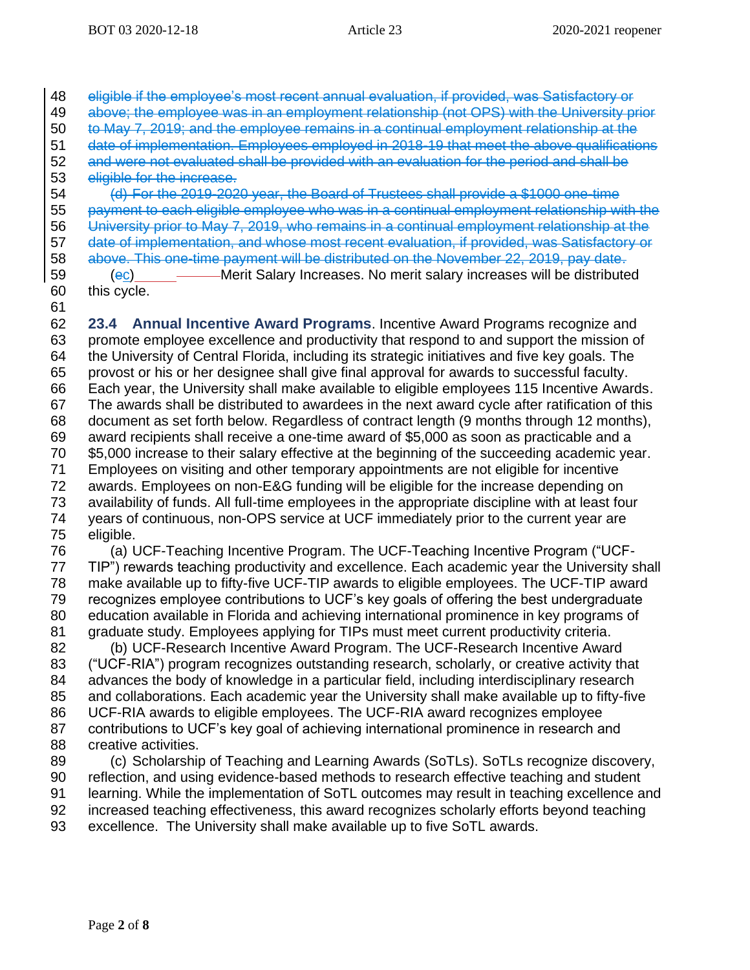eligible if the employee's most recent annual evaluation, if provided, was Satisfactory or above; the employee was in an employment relationship (not OPS) with the University prior to May 7, 2019; and the employee remains in a continual employment relationship at the date of implementation. Employees employed in 2018-19 that meet the above qualifications and were not evaluated shall be provided with an evaluation for the period and shall be eligible for the increase. (d) For the 2019-2020 year, the Board of Trustees shall provide a \$1000 one-time payment to each eligible employee who was in a continual employment relationship with the University prior to May 7, 2019, who remains in a continual employment relationship at the date of implementation, and whose most recent evaluation, if provided, was Satisfactory or above. This one-time payment will be distributed on the November 22, 2019, pay date. (ec) Merit Salary Increases. No merit salary increases will be distributed this cycle.

 **23.4 Annual Incentive Award Programs**. Incentive Award Programs recognize and promote employee excellence and productivity that respond to and support the mission of the University of Central Florida, including its strategic initiatives and five key goals. The provost or his or her designee shall give final approval for awards to successful faculty. Each year, the University shall make available to eligible employees 115 Incentive Awards. The awards shall be distributed to awardees in the next award cycle after ratification of this document as set forth below. Regardless of contract length (9 months through 12 months), award recipients shall receive a one-time award of \$5,000 as soon as practicable and a \$5,000 increase to their salary effective at the beginning of the succeeding academic year. Employees on visiting and other temporary appointments are not eligible for incentive awards. Employees on non-E&G funding will be eligible for the increase depending on availability of funds. All full-time employees in the appropriate discipline with at least four years of continuous, non-OPS service at UCF immediately prior to the current year are eligible. (a) UCF-Teaching Incentive Program. The UCF-Teaching Incentive Program ("UCF-TIP") rewards teaching productivity and excellence. Each academic year the University shall

 make available up to fifty-five UCF-TIP awards to eligible employees. The UCF-TIP award recognizes employee contributions to UCF's key goals of offering the best undergraduate education available in Florida and achieving international prominence in key programs of graduate study. Employees applying for TIPs must meet current productivity criteria.

 (b) UCF-Research Incentive Award Program. The UCF-Research Incentive Award ("UCF-RIA") program recognizes outstanding research, scholarly, or creative activity that 84 advances the body of knowledge in a particular field, including interdisciplinary research and collaborations. Each academic year the University shall make available up to fifty-five UCF-RIA awards to eligible employees. The UCF-RIA award recognizes employee contributions to UCF's key goal of achieving international prominence in research and creative activities.

 (c) Scholarship of Teaching and Learning Awards (SoTLs). SoTLs recognize discovery, reflection, and using evidence-based methods to research effective teaching and student learning. While the implementation of SoTL outcomes may result in teaching excellence and increased teaching effectiveness, this award recognizes scholarly efforts beyond teaching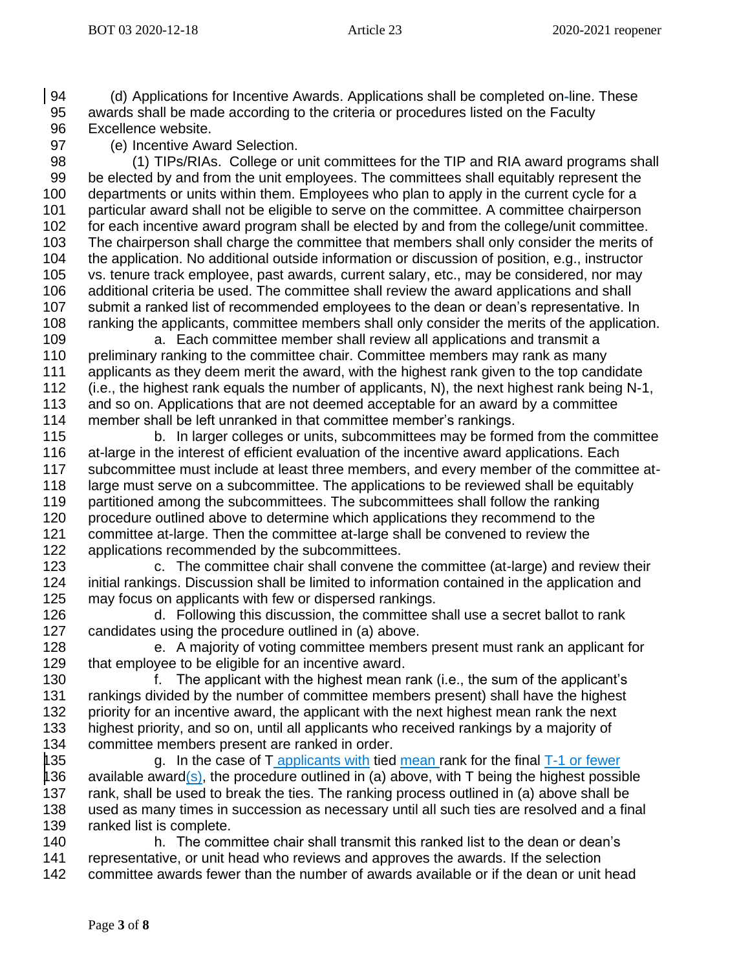(d) Applications for Incentive Awards. Applications shall be completed on-line. These awards shall be made according to the criteria or procedures listed on the Faculty Excellence website.

(e) Incentive Award Selection.

 (1) TIPs/RIAs. College or unit committees for the TIP and RIA award programs shall be elected by and from the unit employees. The committees shall equitably represent the departments or units within them. Employees who plan to apply in the current cycle for a particular award shall not be eligible to serve on the committee. A committee chairperson for each incentive award program shall be elected by and from the college/unit committee. The chairperson shall charge the committee that members shall only consider the merits of the application. No additional outside information or discussion of position, e.g., instructor vs. tenure track employee, past awards, current salary, etc., may be considered, nor may additional criteria be used. The committee shall review the award applications and shall submit a ranked list of recommended employees to the dean or dean's representative. In ranking the applicants, committee members shall only consider the merits of the application.

 a. Each committee member shall review all applications and transmit a preliminary ranking to the committee chair. Committee members may rank as many applicants as they deem merit the award, with the highest rank given to the top candidate (i.e., the highest rank equals the number of applicants, N), the next highest rank being N-1, and so on. Applications that are not deemed acceptable for an award by a committee member shall be left unranked in that committee member's rankings.

 b. In larger colleges or units, subcommittees may be formed from the committee 116 at-large in the interest of efficient evaluation of the incentive award applications. Each subcommittee must include at least three members, and every member of the committee at- large must serve on a subcommittee. The applications to be reviewed shall be equitably partitioned among the subcommittees. The subcommittees shall follow the ranking procedure outlined above to determine which applications they recommend to the committee at-large. Then the committee at-large shall be convened to review the applications recommended by the subcommittees.

 c. The committee chair shall convene the committee (at-large) and review their initial rankings. Discussion shall be limited to information contained in the application and may focus on applicants with few or dispersed rankings.

 d. Following this discussion, the committee shall use a secret ballot to rank candidates using the procedure outlined in (a) above.

 e. A majority of voting committee members present must rank an applicant for that employee to be eligible for an incentive award.

 f. The applicant with the highest mean rank (i.e., the sum of the applicant's rankings divided by the number of committee members present) shall have the highest priority for an incentive award, the applicant with the next highest mean rank the next highest priority, and so on, until all applicants who received rankings by a majority of committee members present are ranked in order.

 g. In the case of T applicants with tied mean rank for the final T-1 or fewer 136 available award(s), the procedure outlined in (a) above, with T being the highest possible rank, shall be used to break the ties. The ranking process outlined in (a) above shall be used as many times in succession as necessary until all such ties are resolved and a final ranked list is complete.

 h. The committee chair shall transmit this ranked list to the dean or dean's representative, or unit head who reviews and approves the awards. If the selection committee awards fewer than the number of awards available or if the dean or unit head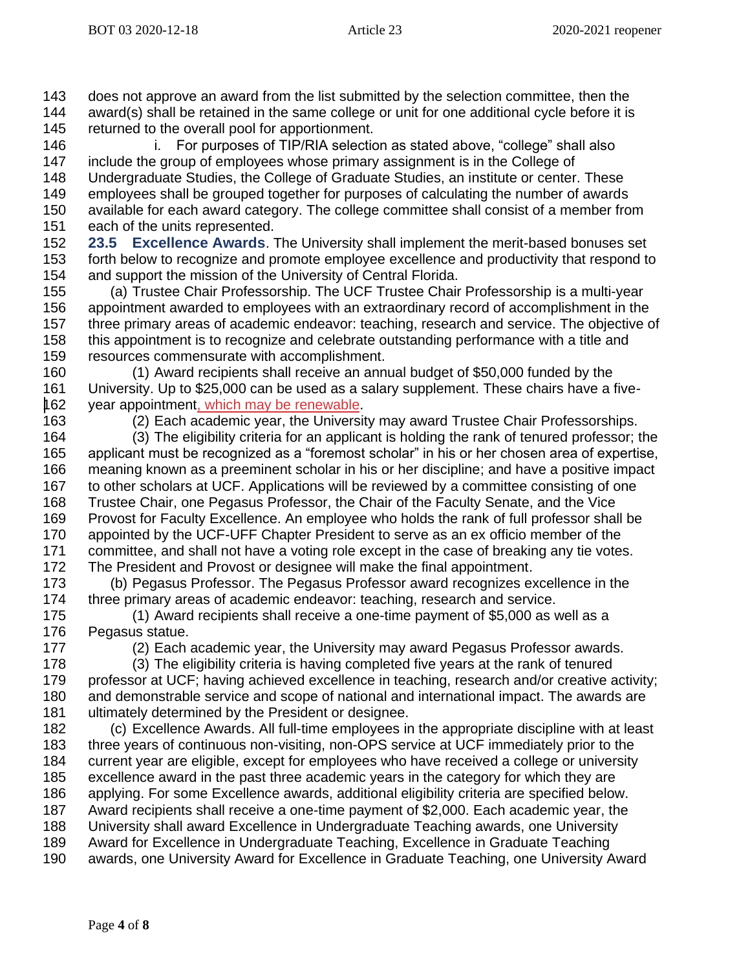does not approve an award from the list submitted by the selection committee, then the award(s) shall be retained in the same college or unit for one additional cycle before it is

returned to the overall pool for apportionment.

 i. For purposes of TIP/RIA selection as stated above, "college" shall also include the group of employees whose primary assignment is in the College of Undergraduate Studies, the College of Graduate Studies, an institute or center. These employees shall be grouped together for purposes of calculating the number of awards available for each award category. The college committee shall consist of a member from

each of the units represented.

 **23.5 Excellence Awards**. The University shall implement the merit-based bonuses set forth below to recognize and promote employee excellence and productivity that respond to and support the mission of the University of Central Florida.

- (a) Trustee Chair Professorship. The UCF Trustee Chair Professorship is a multi-year appointment awarded to employees with an extraordinary record of accomplishment in the three primary areas of academic endeavor: teaching, research and service. The objective of this appointment is to recognize and celebrate outstanding performance with a title and resources commensurate with accomplishment.
- (1) Award recipients shall receive an annual budget of \$50,000 funded by the University. Up to \$25,000 can be used as a salary supplement. These chairs have a five-year appointment, which may be renewable.
- 

(2) Each academic year, the University may award Trustee Chair Professorships.

- (3) The eligibility criteria for an applicant is holding the rank of tenured professor; the applicant must be recognized as a "foremost scholar" in his or her chosen area of expertise, meaning known as a preeminent scholar in his or her discipline; and have a positive impact to other scholars at UCF. Applications will be reviewed by a committee consisting of one Trustee Chair, one Pegasus Professor, the Chair of the Faculty Senate, and the Vice Provost for Faculty Excellence. An employee who holds the rank of full professor shall be appointed by the UCF-UFF Chapter President to serve as an ex officio member of the committee, and shall not have a voting role except in the case of breaking any tie votes. The President and Provost or designee will make the final appointment. (b) Pegasus Professor. The Pegasus Professor award recognizes excellence in the three primary areas of academic endeavor: teaching, research and service. (1) Award recipients shall receive a one-time payment of \$5,000 as well as a Pegasus statue.
- (2) Each academic year, the University may award Pegasus Professor awards.
- (3) The eligibility criteria is having completed five years at the rank of tenured

 professor at UCF; having achieved excellence in teaching, research and/or creative activity; and demonstrable service and scope of national and international impact. The awards are ultimately determined by the President or designee.

 (c) Excellence Awards. All full-time employees in the appropriate discipline with at least three years of continuous non-visiting, non-OPS service at UCF immediately prior to the current year are eligible, except for employees who have received a college or university excellence award in the past three academic years in the category for which they are applying. For some Excellence awards, additional eligibility criteria are specified below. Award recipients shall receive a one-time payment of \$2,000. Each academic year, the University shall award Excellence in Undergraduate Teaching awards, one University Award for Excellence in Undergraduate Teaching, Excellence in Graduate Teaching awards, one University Award for Excellence in Graduate Teaching, one University Award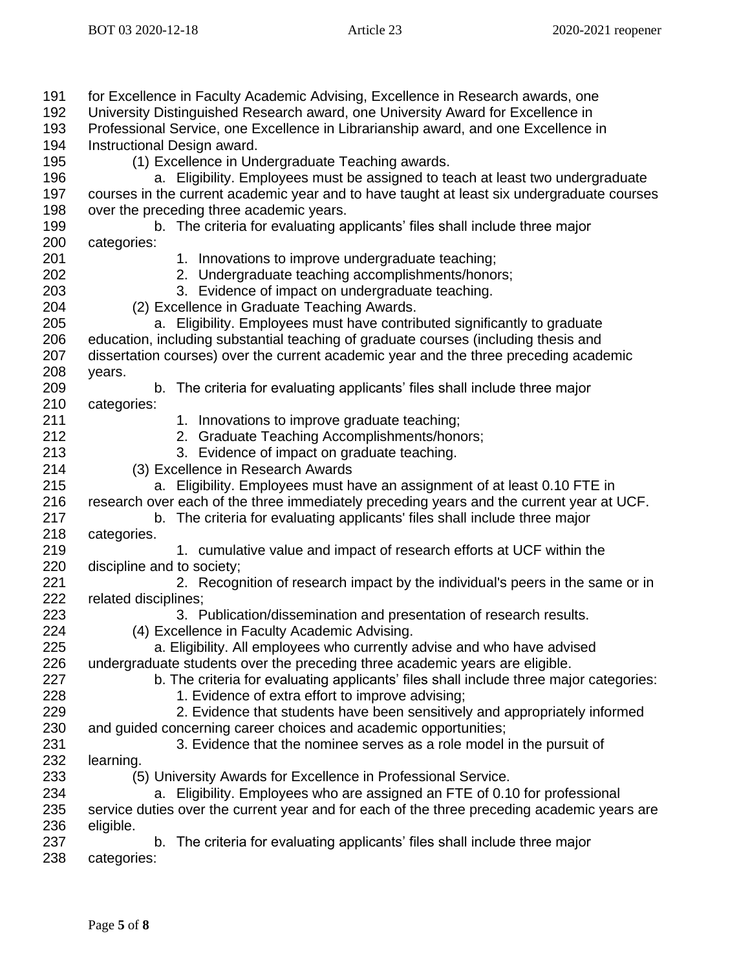for Excellence in Faculty Academic Advising, Excellence in Research awards, one University Distinguished Research award, one University Award for Excellence in Professional Service, one Excellence in Librarianship award, and one Excellence in Instructional Design award. (1) Excellence in Undergraduate Teaching awards. a. Eligibility. Employees must be assigned to teach at least two undergraduate courses in the current academic year and to have taught at least six undergraduate courses 198 over the preceding three academic years. b. The criteria for evaluating applicants' files shall include three major categories: 201 1. Innovations to improve undergraduate teaching; 2. Undergraduate teaching accomplishments/honors; 3. Evidence of impact on undergraduate teaching. (2) Excellence in Graduate Teaching Awards. a. Eligibility. Employees must have contributed significantly to graduate education, including substantial teaching of graduate courses (including thesis and dissertation courses) over the current academic year and the three preceding academic years. b. The criteria for evaluating applicants' files shall include three major categories: 211 211 211 211 1. Innovations to improve graduate teaching; 2. Graduate Teaching Accomplishments/honors; 213 3. Evidence of impact on graduate teaching. (3) Excellence in Research Awards a. Eligibility. Employees must have an assignment of at least 0.10 FTE in research over each of the three immediately preceding years and the current year at UCF. b. The criteria for evaluating applicants' files shall include three major categories. 1. cumulative value and impact of research efforts at UCF within the discipline and to society; 221 221 2. Recognition of research impact by the individual's peers in the same or in related disciplines; 223 3. Publication/dissemination and presentation of research results. (4) Excellence in Faculty Academic Advising. a. Eligibility. All employees who currently advise and who have advised undergraduate students over the preceding three academic years are eligible. 227 b. The criteria for evaluating applicants' files shall include three major categories: 228 1. Evidence of extra effort to improve advising; 2. Evidence that students have been sensitively and appropriately informed and guided concerning career choices and academic opportunities; 3. Evidence that the nominee serves as a role model in the pursuit of learning. (5) University Awards for Excellence in Professional Service. a. Eligibility. Employees who are assigned an FTE of 0.10 for professional 235 service duties over the current year and for each of the three preceding academic years are eligible. b. The criteria for evaluating applicants' files shall include three major categories: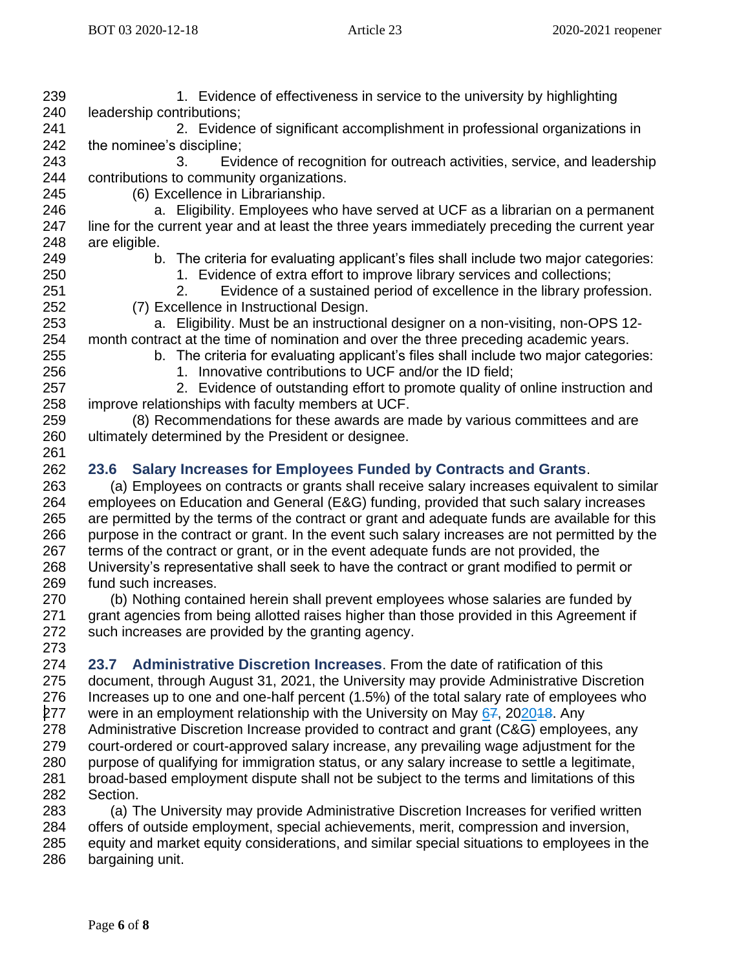239 1. Evidence of effectiveness in service to the university by highlighting leadership contributions;

241 2. Evidence of significant accomplishment in professional organizations in the nominee's discipline;

 3. Evidence of recognition for outreach activities, service, and leadership contributions to community organizations.

(6) Excellence in Librarianship.

 a. Eligibility. Employees who have served at UCF as a librarian on a permanent 247 line for the current year and at least the three years immediately preceding the current year are eligible.

b. The criteria for evaluating applicant's files shall include two major categories:

250 1. Evidence of extra effort to improve library services and collections;

 2. Evidence of a sustained period of excellence in the library profession. (7) Excellence in Instructional Design.

 a. Eligibility. Must be an instructional designer on a non-visiting, non-OPS 12- month contract at the time of nomination and over the three preceding academic years.

 b. The criteria for evaluating applicant's files shall include two major categories: 256 1. Innovative contributions to UCF and/or the ID field;

 2. Evidence of outstanding effort to promote quality of online instruction and improve relationships with faculty members at UCF.

 (8) Recommendations for these awards are made by various committees and are ultimately determined by the President or designee. 

## **23.6 Salary Increases for Employees Funded by Contracts and Grants**.

 (a) Employees on contracts or grants shall receive salary increases equivalent to similar employees on Education and General (E&G) funding, provided that such salary increases are permitted by the terms of the contract or grant and adequate funds are available for this purpose in the contract or grant. In the event such salary increases are not permitted by the terms of the contract or grant, or in the event adequate funds are not provided, the University's representative shall seek to have the contract or grant modified to permit or fund such increases.

 (b) Nothing contained herein shall prevent employees whose salaries are funded by 271 grant agencies from being allotted raises higher than those provided in this Agreement if such increases are provided by the granting agency. 

 **23.7 Administrative Discretion Increases**. From the date of ratification of this document, through August 31, 2021, the University may provide Administrative Discretion Increases up to one and one-half percent (1.5%) of the total salary rate of employees who 277 were in an employment relationship with the University on May , 202048. Any Administrative Discretion Increase provided to contract and grant (C&G) employees, any court-ordered or court-approved salary increase, any prevailing wage adjustment for the

 purpose of qualifying for immigration status, or any salary increase to settle a legitimate, broad-based employment dispute shall not be subject to the terms and limitations of this Section.

 (a) The University may provide Administrative Discretion Increases for verified written offers of outside employment, special achievements, merit, compression and inversion, equity and market equity considerations, and similar special situations to employees in the bargaining unit.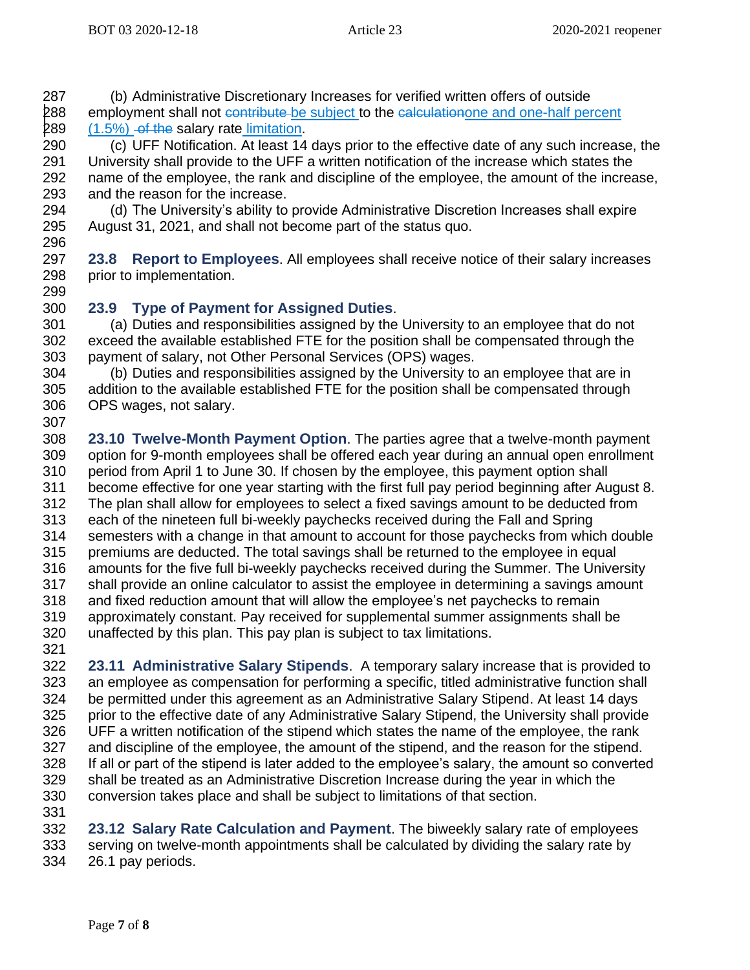(b) Administrative Discretionary Increases for verified written offers of outside 288 employment shall not contribute be subject to the calculationone and one-half percent 289 (1.5%) of the salary rate limitation.

 (c) UFF Notification. At least 14 days prior to the effective date of any such increase, the University shall provide to the UFF a written notification of the increase which states the name of the employee, the rank and discipline of the employee, the amount of the increase, and the reason for the increase.

 (d) The University's ability to provide Administrative Discretion Increases shall expire August 31, 2021, and shall not become part of the status quo. 

 **23.8 Report to Employees**. All employees shall receive notice of their salary increases prior to implementation.

### **23.9 Type of Payment for Assigned Duties**.

 (a) Duties and responsibilities assigned by the University to an employee that do not exceed the available established FTE for the position shall be compensated through the payment of salary, not Other Personal Services (OPS) wages.

 (b) Duties and responsibilities assigned by the University to an employee that are in addition to the available established FTE for the position shall be compensated through OPS wages, not salary.

 **23.10 Twelve-Month Payment Option**. The parties agree that a twelve-month payment option for 9-month employees shall be offered each year during an annual open enrollment period from April 1 to June 30. If chosen by the employee, this payment option shall become effective for one year starting with the first full pay period beginning after August 8. The plan shall allow for employees to select a fixed savings amount to be deducted from each of the nineteen full bi-weekly paychecks received during the Fall and Spring semesters with a change in that amount to account for those paychecks from which double premiums are deducted. The total savings shall be returned to the employee in equal amounts for the five full bi-weekly paychecks received during the Summer. The University shall provide an online calculator to assist the employee in determining a savings amount and fixed reduction amount that will allow the employee's net paychecks to remain approximately constant. Pay received for supplemental summer assignments shall be unaffected by this plan. This pay plan is subject to tax limitations. 

 **23.11 Administrative Salary Stipends**. A temporary salary increase that is provided to an employee as compensation for performing a specific, titled administrative function shall be permitted under this agreement as an Administrative Salary Stipend. At least 14 days prior to the effective date of any Administrative Salary Stipend, the University shall provide UFF a written notification of the stipend which states the name of the employee, the rank and discipline of the employee, the amount of the stipend, and the reason for the stipend. If all or part of the stipend is later added to the employee's salary, the amount so converted shall be treated as an Administrative Discretion Increase during the year in which the conversion takes place and shall be subject to limitations of that section. 

 **23.12 Salary Rate Calculation and Payment**. The biweekly salary rate of employees serving on twelve-month appointments shall be calculated by dividing the salary rate by 26.1 pay periods.